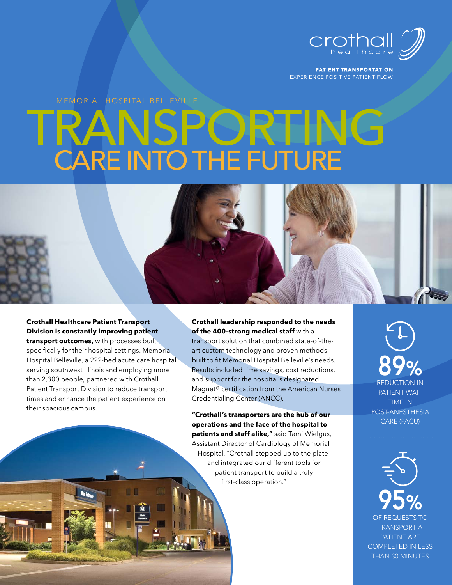

**PATIENT TRANSPORTATION** EXPERIENCE POSITIVE PATIENT FLOW

MEMORIAL HOSPITAL BELLEVILLE

# NSPORTING CARE INTO THE FUTURE



than 2,300 people, partnered with Crothall Patient Transport Division to reduce transport times and enhance the patient experience on their spacious campus.

#### **Crothall leadership responded to the needs of the 400-strong medical staff** with a

transport solution that combined state-of-theart custom technology and proven methods built to fit Memorial Hospital Belleville's needs. Results included time savings, cost reductions, and support for the hospital's designated Magnet® certification from the American Nurses Credentialing Center (ANCC).

**"Crothall's transporters are the hub of our operations and the face of the hospital to patients and staff alike,"** said Tami Wielgus, Assistant Director of Cardiology of Memorial Hospital. "Crothall stepped up to the plate and integrated our different tools for patient transport to build a truly first-class operation."

REDUCTION IN PATIENT WAIT TIME IN POST-ANESTHESIA CARE (PACU) 89%